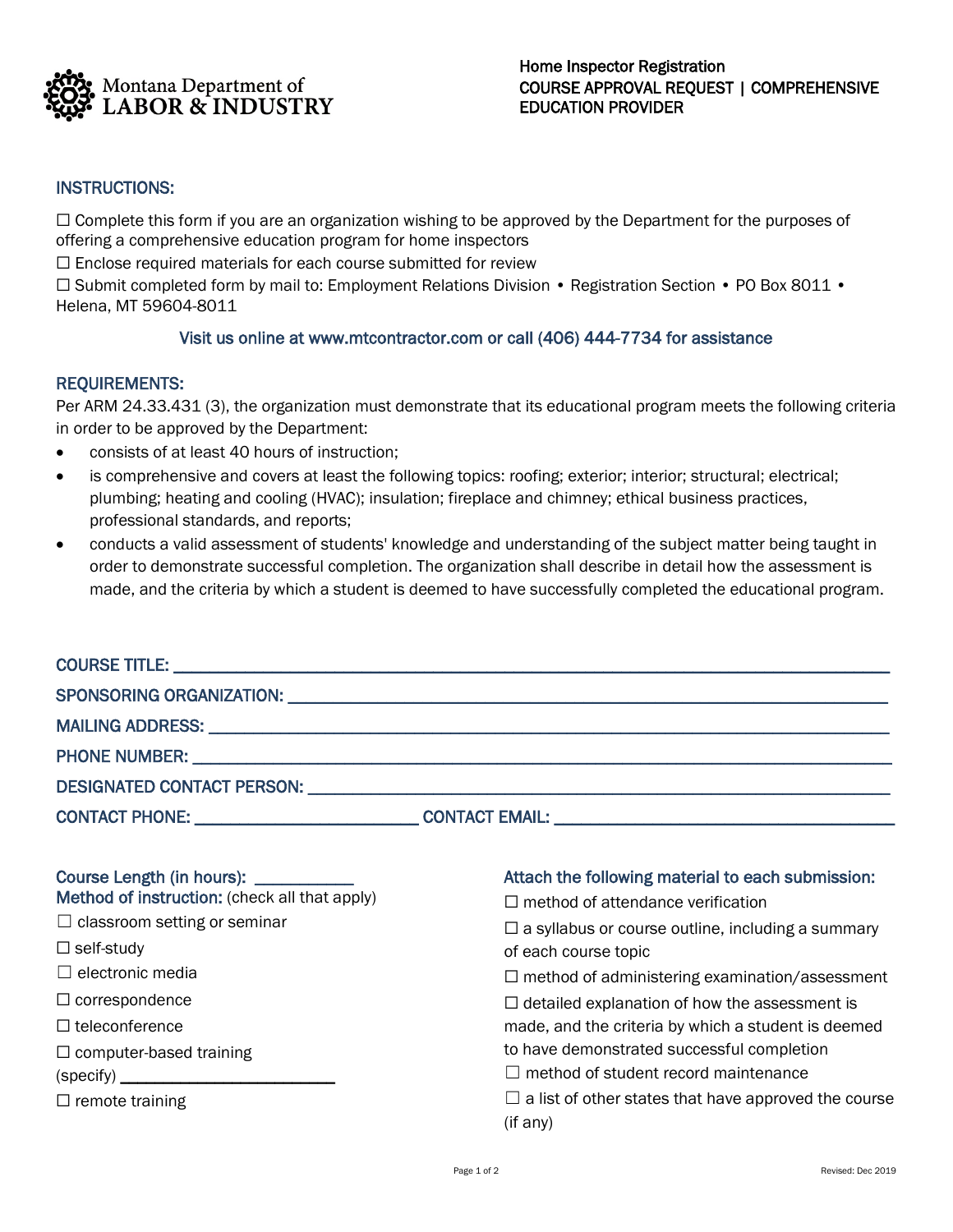

## INSTRUCTIONS:

☐ Complete this form if you are an organization wishing to be approved by the Department for the purposes of offering a comprehensive education program for home inspectors

 $\Box$  Enclose required materials for each course submitted for review

☐ Submit completed form by mail to: Employment Relations Division • Registration Section • PO Box 8011 • Helena, MT 59604-8011

## Visit us online at www.mtcontractor.com or call (406) 444-7734 for assistance

## REQUIREMENTS:

Per ARM 24.33.431 (3), the organization must demonstrate that its educational program meets the following criteria in order to be approved by the Department:

- consists of at least 40 hours of instruction;
- is comprehensive and covers at least the following topics: roofing; exterior; interior; structural; electrical; plumbing; heating and cooling (HVAC); insulation; fireplace and chimney; ethical business practices, professional standards, and reports;
- conducts a valid assessment of students' knowledge and understanding of the subject matter being taught in order to demonstrate successful completion. The organization shall describe in detail how the assessment is made, and the criteria by which a student is deemed to have successfully completed the educational program.

|                                                                                                                                                                                                                                                                                | DESIGNATED CONTACT PERSON: University of the contract of the contract of the contract of the contract of the contract of the contract of the contract of the contract of the contract of the contract of the contract of the c                                                                                                                                                                                                                         |
|--------------------------------------------------------------------------------------------------------------------------------------------------------------------------------------------------------------------------------------------------------------------------------|--------------------------------------------------------------------------------------------------------------------------------------------------------------------------------------------------------------------------------------------------------------------------------------------------------------------------------------------------------------------------------------------------------------------------------------------------------|
|                                                                                                                                                                                                                                                                                |                                                                                                                                                                                                                                                                                                                                                                                                                                                        |
| Course Length (in hours): ___________<br>Method of instruction: (check all that apply)<br>$\Box$ classroom setting or seminar<br>$\Box$ self-study<br>$\Box$ electronic media<br>$\Box$ correspondence<br>$\Box$ teleconference<br>$\Box$ computer-based training<br>(specify) | Attach the following material to each submission:<br>$\Box$ method of attendance verification<br>$\Box$ a syllabus or course outline, including a summary<br>of each course topic<br>$\Box$ method of administering examination/assessment<br>$\Box$ detailed explanation of how the assessment is<br>made, and the criteria by which a student is deemed<br>to have demonstrated successful completion<br>$\Box$ method of student record maintenance |
| $\Box$ remote training                                                                                                                                                                                                                                                         | $\Box$ a list of other states that have approved the course<br>(if any)                                                                                                                                                                                                                                                                                                                                                                                |